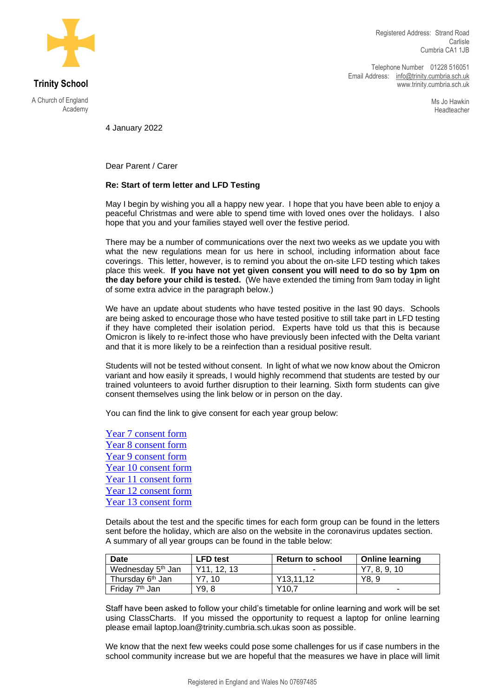

**Trinity School**

A Church of England Academy

Telephone Number 01228 516051 Email Address: [info@trinity.cumbria.sch.uk](mailto:info@trinity.cumbria.sch.uk) www.trinity.cumbria.sch.uk

> Ms Jo Hawkin Headteacher

4 January 2022

Dear Parent / Carer

## **Re: Start of term letter and LFD Testing**

May I begin by wishing you all a happy new year. I hope that you have been able to enjoy a peaceful Christmas and were able to spend time with loved ones over the holidays. I also hope that you and your families stayed well over the festive period.

There may be a number of communications over the next two weeks as we update you with what the new regulations mean for us here in school, including information about face coverings. This letter, however, is to remind you about the on-site LFD testing which takes place this week. **If you have not yet given consent you will need to do so by 1pm on the day before your child is tested.** (We have extended the timing from 9am today in light of some extra advice in the paragraph below.)

We have an update about students who have tested positive in the last 90 days. Schools are being asked to encourage those who have tested positive to still take part in LFD testing if they have completed their isolation period. Experts have told us that this is because Omicron is likely to re-infect those who have previously been infected with the Delta variant and that it is more likely to be a reinfection than a residual positive result.

Students will not be tested without consent. In light of what we now know about the Omicron variant and how easily it spreads, I would highly recommend that students are tested by our trained volunteers to avoid further disruption to their learning. Sixth form students can give consent themselves using the link below or in person on the day.

You can find the link to give consent for each year group below:

[Year 7 consent form](https://forms.office.com/r/T1mS4PAEfd) [Year 8 consent form](https://forms.office.com/Pages/ResponsePage.aspx?id=Z3brHovdHEuR5MkpDn4nnBHWaNv6zDdGjK7lco1663hUMzJVOTBQWDk3NlNBRlZUWkVMT1RYTVhTTC4u) [Year 9 consent form](https://forms.office.com/Pages/ResponsePage.aspx?id=Z3brHovdHEuR5MkpDn4nnBHWaNv6zDdGjK7lco1663hUOVg4Wlk1VzdMR0xGMjhSRE83WDVONFpGUS4u) [Year 10 consent form](https://forms.office.com/Pages/ResponsePage.aspx?id=Z3brHovdHEuR5MkpDn4nnBHWaNv6zDdGjK7lco1663hUNzJaMUpSSE9PWElPR0pMTlpPUzI3VE8xNS4u) [Year 11 consent form](https://forms.office.com/Pages/ResponsePage.aspx?id=Z3brHovdHEuR5MkpDn4nnBHWaNv6zDdGjK7lco1663hUNUJZU1EyTFFZMU1HUk1GOVZJTzhEN1BYTi4u) [Year 12 consent form](https://forms.office.com/Pages/ResponsePage.aspx?id=Z3brHovdHEuR5MkpDn4nnBHWaNv6zDdGjK7lco1663hUNTFMRzBYVjZCTzA4SVFKQk5HWlc2RUExRy4u) [Year 13 consent form](https://forms.office.com/Pages/ResponsePage.aspx?id=Z3brHovdHEuR5MkpDn4nnBHWaNv6zDdGjK7lco1663hUQkVaOEMyVEZINUxGQ0UyN0s1TllTUVNDSS4u)

Details about the test and the specific times for each form group can be found in the letters sent before the holiday, which are also on the website in the coronavirus updates section. A summary of all year groups can be found in the table below:

| <b>Date</b>                   | <b>LFD</b> test          | <b>Return to school</b> | <b>Online learning</b> |
|-------------------------------|--------------------------|-------------------------|------------------------|
| Wednesday 5 <sup>th</sup> Jan | Y <sub>11</sub> . 12. 13 |                         | Y7, 8, 9, 10           |
| Thursday 6 <sup>th</sup> Jan  | 10                       | Y <sub>13</sub> .11.12  | Y8. 9                  |
| Friday 7 <sup>th</sup> Jan    | Y9. 8                    | Y10.7                   | -                      |

Staff have been asked to follow your child's timetable for online learning and work will be set using ClassCharts. If you missed the opportunity to request a laptop for online learning please email [laptop.loan@trinity.cumbria.sch.uka](mailto:laptop.loan@trinity.cumbria.sch.uk)s soon as possible.

We know that the next few weeks could pose some challenges for us if case numbers in the school community increase but we are hopeful that the measures we have in place will limit